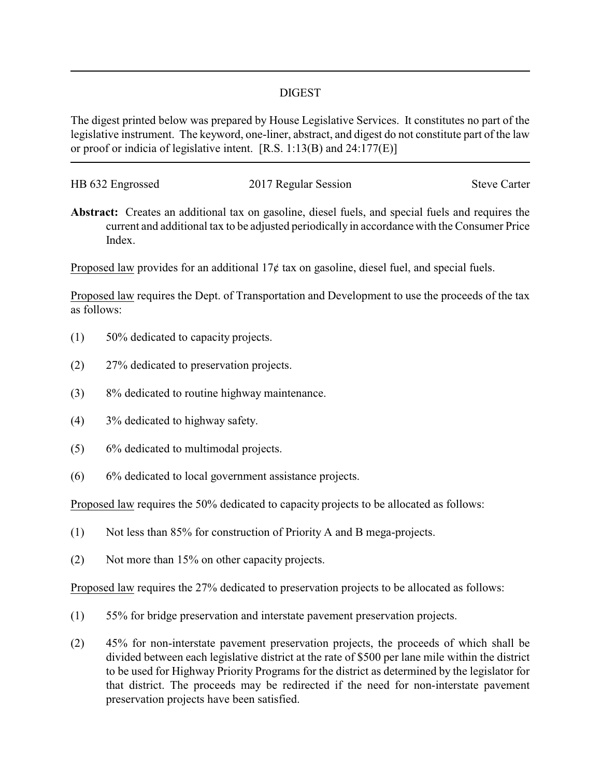## DIGEST

The digest printed below was prepared by House Legislative Services. It constitutes no part of the legislative instrument. The keyword, one-liner, abstract, and digest do not constitute part of the law or proof or indicia of legislative intent. [R.S. 1:13(B) and 24:177(E)]

| HB 632 Engrossed | 2017 Regular Session | <b>Steve Carter</b> |
|------------------|----------------------|---------------------|
|                  |                      |                     |

**Abstract:** Creates an additional tax on gasoline, diesel fuels, and special fuels and requires the current and additional tax to be adjusted periodically in accordance with the Consumer Price Index.

Proposed law provides for an additional  $17¢$  tax on gasoline, diesel fuel, and special fuels.

Proposed law requires the Dept. of Transportation and Development to use the proceeds of the tax as follows:

- (1) 50% dedicated to capacity projects.
- (2) 27% dedicated to preservation projects.
- (3) 8% dedicated to routine highway maintenance.
- (4) 3% dedicated to highway safety.
- (5) 6% dedicated to multimodal projects.
- (6) 6% dedicated to local government assistance projects.

Proposed law requires the 50% dedicated to capacity projects to be allocated as follows:

- (1) Not less than 85% for construction of Priority A and B mega-projects.
- (2) Not more than 15% on other capacity projects.

Proposed law requires the 27% dedicated to preservation projects to be allocated as follows:

- (1) 55% for bridge preservation and interstate pavement preservation projects.
- (2) 45% for non-interstate pavement preservation projects, the proceeds of which shall be divided between each legislative district at the rate of \$500 per lane mile within the district to be used for Highway Priority Programs for the district as determined by the legislator for that district. The proceeds may be redirected if the need for non-interstate pavement preservation projects have been satisfied.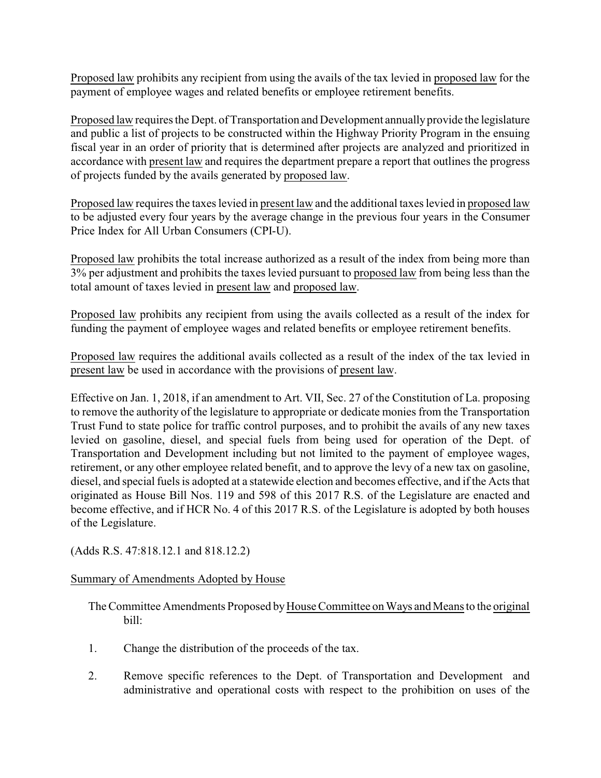Proposed law prohibits any recipient from using the avails of the tax levied in proposed law for the payment of employee wages and related benefits or employee retirement benefits.

Proposed law requires the Dept. of Transportation and Development annually provide the legislature and public a list of projects to be constructed within the Highway Priority Program in the ensuing fiscal year in an order of priority that is determined after projects are analyzed and prioritized in accordance with present law and requires the department prepare a report that outlines the progress of projects funded by the avails generated by proposed law.

Proposed law requires the taxes levied in present law and the additional taxes levied in proposed law to be adjusted every four years by the average change in the previous four years in the Consumer Price Index for All Urban Consumers (CPI-U).

Proposed law prohibits the total increase authorized as a result of the index from being more than 3% per adjustment and prohibits the taxes levied pursuant to proposed law from being less than the total amount of taxes levied in present law and proposed law.

Proposed law prohibits any recipient from using the avails collected as a result of the index for funding the payment of employee wages and related benefits or employee retirement benefits.

Proposed law requires the additional avails collected as a result of the index of the tax levied in present law be used in accordance with the provisions of present law.

Effective on Jan. 1, 2018, if an amendment to Art. VII, Sec. 27 of the Constitution of La. proposing to remove the authority of the legislature to appropriate or dedicate monies from the Transportation Trust Fund to state police for traffic control purposes, and to prohibit the avails of any new taxes levied on gasoline, diesel, and special fuels from being used for operation of the Dept. of Transportation and Development including but not limited to the payment of employee wages, retirement, or any other employee related benefit, and to approve the levy of a new tax on gasoline, diesel, and special fuels is adopted at a statewide election and becomes effective, and if the Acts that originated as House Bill Nos. 119 and 598 of this 2017 R.S. of the Legislature are enacted and become effective, and if HCR No. 4 of this 2017 R.S. of the Legislature is adopted by both houses of the Legislature.

(Adds R.S. 47:818.12.1 and 818.12.2)

## Summary of Amendments Adopted by House

The Committee Amendments Proposed byHouse Committee on Ways and Means to the original bill:

- 1. Change the distribution of the proceeds of the tax.
- 2. Remove specific references to the Dept. of Transportation and Development and administrative and operational costs with respect to the prohibition on uses of the